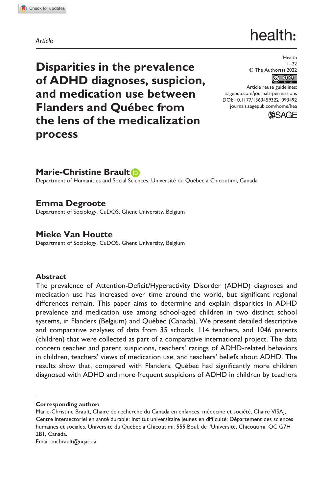**1093[492](http://crossmark.crossref.org/dialog/?doi=10.1177%2F13634593221093492&domain=pdf&date_stamp=2022-06-07)** HEA0010.1177/13634593221093492Health**Brault et al.**

*Article*

# health:

**Disparities in the prevalence of ADHD diagnoses, suspicion, and medication use between Flanders and Québec from the lens of the medicalization process**

Health  $1 - 22$ © The Author(s) 2022 ெ 0

DOI: 10.1177/13634593221093492 Article reuse guidelines: [sagepub.com/journals-permissions](https://uk.sagepub.com/en-gb/journals-permissions) [journals.sagepub.com/home/hea](https://journals.sagepub.com/home/hea)



# **Marie-Christine Brault**

Department of Humanities and Social Sciences, Université du Québec à Chicoutimi, Canada

# **Emma Degroote**

Department of Sociology, CuDOS, Ghent University, Belgium

# **Mieke Van Houtte**

Department of Sociology, CuDOS, Ghent University, Belgium

#### **Abstract**

The prevalence of Attention-Deficit/Hyperactivity Disorder (ADHD) diagnoses and medication use has increased over time around the world, but significant regional differences remain. This paper aims to determine and explain disparities in ADHD prevalence and medication use among school-aged children in two distinct school systems, in Flanders (Belgium) and Québec (Canada). We present detailed descriptive and comparative analyses of data from 35 schools, 114 teachers, and 1046 parents (children) that were collected as part of a comparative international project. The data concern teacher and parent suspicions, teachers' ratings of ADHD-related behaviors in children, teachers' views of medication use, and teachers' beliefs about ADHD. The results show that, compared with Flanders, Québec had significantly more children diagnosed with ADHD and more frequent suspicions of ADHD in children by teachers

**Corresponding author:**

Email: [mcbrault@uqac.ca](mailto:mcbrault@uqac.ca)

Marie-Christine Brault, Chaire de recherche du Canada en enfances, médecine et société, Chaire VISAJ, Centre intersectoriel en santé durable; Institut universitaire jeunes en difficulté; Département des sciences humaines et sociales, Université du Québec à Chicoutimi, 555 Boul. de l'Université, Chicoutimi, QC G7H 2B1, Canada.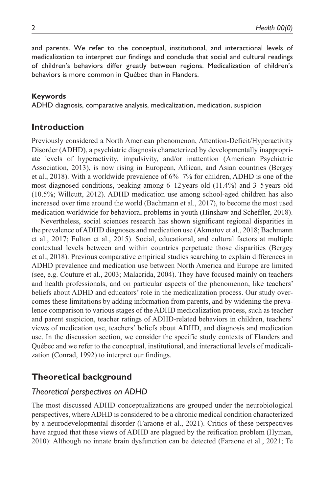and parents. We refer to the conceptual, institutional, and interactional levels of medicalization to interpret our findings and conclude that social and cultural readings of children's behaviors differ greatly between regions. Medicalization of children's behaviors is more common in Québec than in Flanders.

#### **Keywords**

ADHD diagnosis, comparative analysis, medicalization, medication, suspicion

## **Introduction**

Previously considered a North American phenomenon, Attention-Deficit/Hyperactivity Disorder (ADHD), a psychiatric diagnosis characterized by developmentally inappropriate levels of hyperactivity, impulsivity, and/or inattention (American Psychiatric Association, 2013), is now rising in European, African, and Asian countries (Bergey et al., 2018). With a worldwide prevalence of 6%–7% for children, ADHD is one of the most diagnosed conditions, peaking among  $6-12$  years old  $(11.4\%)$  and  $3-5$  years old (10.5%; Willcutt, 2012). ADHD medication use among school-aged children has also increased over time around the world (Bachmann et al., 2017), to become the most used medication worldwide for behavioral problems in youth (Hinshaw and Scheffler, 2018).

Nevertheless, social sciences research has shown significant regional disparities in the prevalence of ADHD diagnoses and medication use (Akmatov et al., 2018; Bachmann et al., 2017; Fulton et al., 2015). Social, educational, and cultural factors at multiple contextual levels between and within countries perpetuate those disparities (Bergey et al., 2018). Previous comparative empirical studies searching to explain differences in ADHD prevalence and medication use between North America and Europe are limited (see, e.g. Couture et al., 2003; Malacrida, 2004). They have focused mainly on teachers and health professionals, and on particular aspects of the phenomenon, like teachers' beliefs about ADHD and educators' role in the medicalization process. Our study overcomes these limitations by adding information from parents, and by widening the prevalence comparison to various stages of the ADHD medicalization process, such as teacher and parent suspicion, teacher ratings of ADHD-related behaviors in children, teachers' views of medication use, teachers' beliefs about ADHD, and diagnosis and medication use. In the discussion section, we consider the specific study contexts of Flanders and Québec and we refer to the conceptual, institutional, and interactional levels of medicalization (Conrad, 1992) to interpret our findings.

## **Theoretical background**

#### *Theoretical perspectives on ADHD*

The most discussed ADHD conceptualizations are grouped under the neurobiological perspectives, where ADHD is considered to be a chronic medical condition characterized by a neurodevelopmental disorder (Faraone et al., 2021). Critics of these perspectives have argued that these views of ADHD are plagued by the reification problem (Hyman, 2010): Although no innate brain dysfunction can be detected (Faraone et al., 2021; Te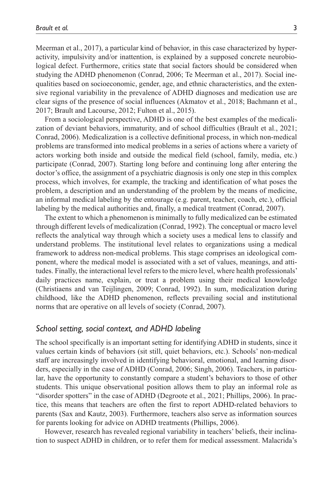Meerman et al., 2017), a particular kind of behavior, in this case characterized by hyperactivity, impulsivity and/or inattention, is explained by a supposed concrete neurobiological defect. Furthermore, critics state that social factors should be considered when studying the ADHD phenomenon (Conrad, 2006; Te Meerman et al., 2017). Social inequalities based on socioeconomic, gender, age, and ethnic characteristics, and the extensive regional variability in the prevalence of ADHD diagnoses and medication use are clear signs of the presence of social influences (Akmatov et al., 2018; Bachmann et al., 2017; Brault and Lacourse, 2012; Fulton et al., 2015).

From a sociological perspective, ADHD is one of the best examples of the medicalization of deviant behaviors, immaturity, and of school difficulties (Brault et al., 2021; Conrad, 2006). Medicalization is a collective definitional process, in which non-medical problems are transformed into medical problems in a series of actions where a variety of actors working both inside and outside the medical field (school, family, media, etc.) participate (Conrad, 2007). Starting long before and continuing long after entering the doctor's office, the assignment of a psychiatric diagnosis is only one step in this complex process, which involves, for example, the tracking and identification of what poses the problem, a description and an understanding of the problem by the means of medicine, an informal medical labeling by the entourage (e.g. parent, teacher, coach, etc.), official labeling by the medical authorities and, finally, a medical treatment (Conrad, 2007).

The extent to which a phenomenon is minimally to fully medicalized can be estimated through different levels of medicalization (Conrad, 1992). The conceptual or macro level reflects the analytical way through which a society uses a medical lens to classify and understand problems. The institutional level relates to organizations using a medical framework to address non-medical problems. This stage comprises an ideological component, where the medical model is associated with a set of values, meanings, and attitudes. Finally, the interactional level refers to the micro level, where health professionals' daily practices name, explain, or treat a problem using their medical knowledge (Christiaens and van Teijlingen, 2009; Conrad, 1992). In sum, medicalization during childhood, like the ADHD phenomenon, reflects prevailing social and institutional norms that are operative on all levels of society (Conrad, 2007).

#### *School setting, social context, and ADHD labeling*

The school specifically is an important setting for identifying ADHD in students, since it values certain kinds of behaviors (sit still, quiet behaviors, etc.). Schools' non-medical staff are increasingly involved in identifying behavioral, emotional, and learning disorders, especially in the case of ADHD (Conrad, 2006; Singh, 2006). Teachers, in particular, have the opportunity to constantly compare a student's behaviors to those of other students. This unique observational position allows them to play an informal role as "disorder spotters" in the case of ADHD (Degroote et al., 2021; Phillips, 2006). In practice, this means that teachers are often the first to report ADHD-related behaviors to parents (Sax and Kautz, 2003). Furthermore, teachers also serve as information sources for parents looking for advice on ADHD treatments (Phillips, 2006).

However, research has revealed regional variability in teachers' beliefs, their inclination to suspect ADHD in children, or to refer them for medical assessment. Malacrida's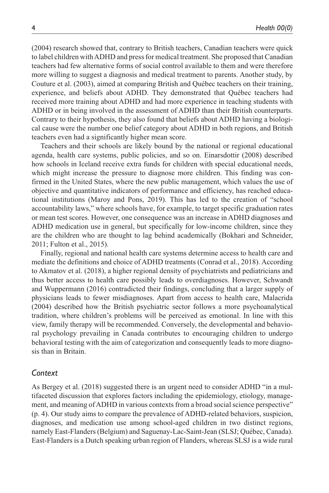(2004) research showed that, contrary to British teachers, Canadian teachers were quick to label children with ADHD and press for medical treatment. She proposed that Canadian teachers had few alternative forms of social control available to them and were therefore more willing to suggest a diagnosis and medical treatment to parents. Another study, by Couture et al. (2003), aimed at comparing British and Québec teachers on their training, experience, and beliefs about ADHD. They demonstrated that Québec teachers had received more training about ADHD and had more experience in teaching students with ADHD or in being involved in the assessment of ADHD than their British counterparts. Contrary to their hypothesis, they also found that beliefs about ADHD having a biological cause were the number one belief category about ADHD in both regions, and British teachers even had a significantly higher mean score.

Teachers and their schools are likely bound by the national or regional educational agenda, health care systems, public policies, and so on. Einarsdottir (2008) described how schools in Iceland receive extra funds for children with special educational needs, which might increase the pressure to diagnose more children. This finding was confirmed in the United States, where the new public management, which values the use of objective and quantitative indicators of performance and efficiency, has reached educational institutions (Maroy and Pons, 2019). This has led to the creation of "school accountability laws," where schools have, for example, to target specific graduation rates or mean test scores. However, one consequence was an increase in ADHD diagnoses and ADHD medication use in general, but specifically for low-income children, since they are the children who are thought to lag behind academically (Bokhari and Schneider, 2011; Fulton et al., 2015).

Finally, regional and national health care systems determine access to health care and mediate the definitions and choice of ADHD treatments (Conrad et al., 2018). According to Akmatov et al. (2018), a higher regional density of psychiatrists and pediatricians and thus better access to health care possibly leads to overdiagnoses. However, Schwandt and Wuppermann (2016) contradicted their findings, concluding that a larger supply of physicians leads to fewer misdiagnoses. Apart from access to health care, Malacrida (2004) described how the British psychiatric sector follows a more psychoanalytical tradition, where children's problems will be perceived as emotional. In line with this view, family therapy will be recommended. Conversely, the developmental and behavioral psychology prevailing in Canada contributes to encouraging children to undergo behavioral testing with the aim of categorization and consequently leads to more diagnosis than in Britain.

#### *Context*

As Bergey et al. (2018) suggested there is an urgent need to consider ADHD "in a multifaceted discussion that explores factors including the epidemiology, etiology, management, and meaning of ADHD in various contexts from a broad social science perspective" (p. 4). Our study aims to compare the prevalence of ADHD-related behaviors, suspicion, diagnoses, and medication use among school-aged children in two distinct regions, namely East-Flanders (Belgium) and Saguenay-Lac-Saint-Jean (SLSJ; Québec, Canada). East-Flanders is a Dutch speaking urban region of Flanders, whereas SLSJ is a wide rural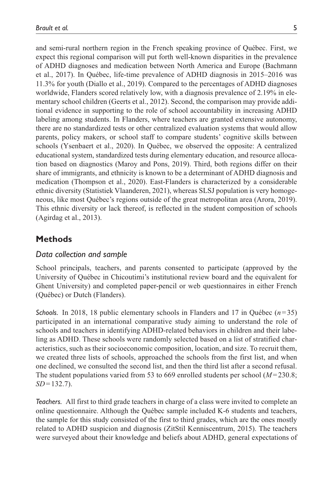and semi-rural northern region in the French speaking province of Québec. First, we expect this regional comparison will put forth well-known disparities in the prevalence of ADHD diagnoses and medication between North America and Europe (Bachmann et al., 2017). In Québec, life-time prevalence of ADHD diagnosis in 2015–2016 was 11.3% for youth (Diallo et al., 2019). Compared to the percentages of ADHD diagnoses worldwide, Flanders scored relatively low, with a diagnosis prevalence of 2.19% in elementary school children (Geerts et al., 2012). Second, the comparison may provide additional evidence in supporting to the role of school accountability in increasing ADHD labeling among students. In Flanders, where teachers are granted extensive autonomy, there are no standardized tests or other centralized evaluation systems that would allow parents, policy makers, or school staff to compare students' cognitive skills between schools (Ysenbaert et al., 2020). In Québec, we observed the opposite: A centralized educational system, standardized tests during elementary education, and resource allocation based on diagnostics (Maroy and Pons, 2019). Third, both regions differ on their share of immigrants, and ethnicity is known to be a determinant of ADHD diagnosis and medication (Thompson et al., 2020). East-Flanders is characterized by a considerable ethnic diversity (Statistiek Vlaanderen, 2021), whereas SLSJ population is very homogeneous, like most Québec's regions outside of the great metropolitan area (Arora, 2019). This ethnic diversity or lack thereof, is reflected in the student composition of schools (Agirdag et al., 2013).

# **Methods**

## *Data collection and sample*

School principals, teachers, and parents consented to participate (approved by the University of Québec in Chicoutimi's institutional review board and the equivalent for Ghent University) and completed paper-pencil or web questionnaires in either French (Québec) or Dutch (Flanders).

*Schools.* In 2018, 18 public elementary schools in Flanders and 17 in Québec (*n*=35) participated in an international comparative study aiming to understand the role of schools and teachers in identifying ADHD-related behaviors in children and their labeling as ADHD. These schools were randomly selected based on a list of stratified characteristics, such as their socioeconomic composition, location, and size. To recruit them, we created three lists of schools, approached the schools from the first list, and when one declined, we consulted the second list, and then the third list after a second refusal. The student populations varied from 53 to 669 enrolled students per school (*M*=230.8; *SD*=132.7).

*Teachers.* All first to third grade teachers in charge of a class were invited to complete an online questionnaire. Although the Québec sample included K-6 students and teachers, the sample for this study consisted of the first to third grades, which are the ones mostly related to ADHD suspicion and diagnosis (ZitStil Kenniscentrum, 2015). The teachers were surveyed about their knowledge and beliefs about ADHD, general expectations of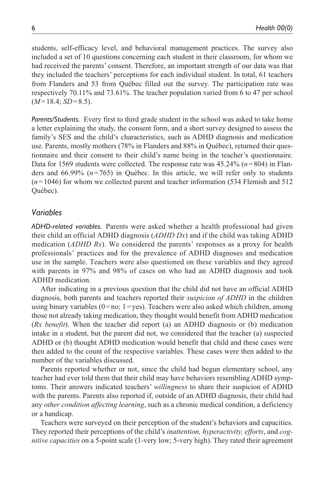students, self-efficacy level, and behavioral management practices. The survey also included a set of 10 questions concerning each student in their classroom, for whom we had received the parents' consent. Therefore, an important strength of our data was that they included the teachers' perceptions for each individual student. In total, 61 teachers from Flanders and 53 from Québec filled out the survey. The participation rate was respectively 70.11% and 73.61%. The teacher population varied from 6 to 47 per school  $(M=18.4; SD=8.5)$ .

*Parents/Students.* Every first to third grade student in the school was asked to take home a letter explaining the study, the consent form, and a short survey designed to assess the family's SES and the child's characteristics, such as ADHD diagnosis and medication use. Parents, mostly mothers (78% in Flanders and 88% in Québec), returned their questionnaire and their consent to their child's name being in the teacher's questionnaire. Data for 1569 students were collected. The response rate was 45.24% (*n*=804) in Flanders and 66.99% (*n*=765) in Québec. In this article, we will refer only to students (*n*=1046) for whom we collected parent and teacher information (534 Flemish and 512 Québec).

#### *Variables*

*ADHD-related variables.* Parents were asked whether a health professional had given their child an official ADHD diagnosis (*ADHD Dx*) and if the child was taking ADHD medication (*ADHD Rx*). We considered the parents' responses as a proxy for health professionals' practices and for the prevalence of ADHD diagnoses and medication use in the sample. Teachers were also questioned on these variables and they agreed with parents in 97% and 98% of cases on who had an ADHD diagnosis and took ADHD medication.

After indicating in a previous question that the child did not have an official ADHD diagnosis, both parents and teachers reported their *suspicion of ADHD* in the children using binary variables  $(0=no; 1=yes)$ . Teachers were also asked which children, among those not already taking medication, they thought would benefit from ADHD medication (*Rx benefit*). When the teacher did report (a) an ADHD diagnosis or (b) medication intake in a student, but the parent did not, we considered that the teacher (a) suspected ADHD or (b) thought ADHD medication would benefit that child and these cases were then added to the count of the respective variables. These cases were then added to the number of the variables discussed.

Parents reported whether or not, since the child had begun elementary school, any teacher had ever told them that their child may have behaviors resembling ADHD symptoms. Their answers indicated teachers' *willingness* to share their suspicion of ADHD with the parents. Parents also reported if, outside of an ADHD diagnosis, their child had any *other condition affecting learning*, such as a chronic medical condition, a deficiency or a handicap.

Teachers were surveyed on their perception of the student's behaviors and capacities. They reported their perceptions of the child's *inattention, hyperactivity, efforts*, and *cognitive capacities* on a 5-point scale (1-very low; 5-very high). They rated their agreement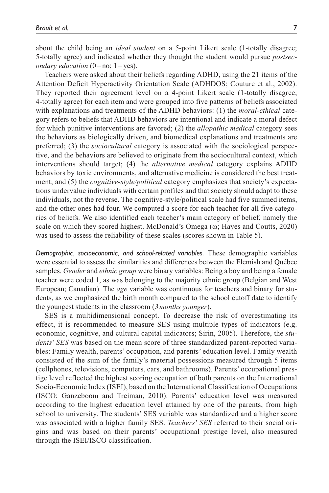about the child being an *ideal student* on a 5-point Likert scale (1-totally disagree; 5*-*totally agree) and indicated whether they thought the student would pursue *postsecondary education*  $(0 = no; 1 = yes)$ .

Teachers were asked about their beliefs regarding ADHD, using the 21 items of the Attention Deficit Hyperactivity Orientation Scale (ADHDOS; Couture et al., 2002). They reported their agreement level on a 4-point Likert scale (1-totally disagree; 4-totally agree) for each item and were grouped into five patterns of beliefs associated with explanations and treatments of the ADHD behaviors: (1) the *moral-ethical* category refers to beliefs that ADHD behaviors are intentional and indicate a moral defect for which punitive interventions are favored; (2) the *allopathic medical* category sees the behaviors as biologically driven, and biomedical explanations and treatments are preferred; (3) the *sociocultural* category is associated with the sociological perspective, and the behaviors are believed to originate from the sociocultural context, which interventions should target; (4) the *alternative medical* category explains ADHD behaviors by toxic environments, and alternative medicine is considered the best treatment; and (5) the *cognitive-style/political* category emphasizes that society's expectations undervalue individuals with certain profiles and that society should adapt to these individuals, not the reverse. The cognitive-style/political scale had five summed items, and the other ones had four. We computed a score for each teacher for all five categories of beliefs. We also identified each teacher's main category of belief, namely the scale on which they scored highest. McDonald's Omega (ω; Hayes and Coutts, 2020) was used to assess the reliability of these scales (scores shown in Table 5).

*Demographic, socioeconomic, and school-related variables.* These demographic variables were essential to assess the similarities and differences between the Flemish and Québec samples. *Gender* and *ethnic group* were binary variables: Being a boy and being a female teacher were coded 1, as was belonging to the majority ethnic group (Belgian and West European; Canadian). The *age* variable was continuous for teachers and binary for students, as we emphasized the birth month compared to the school cutoff date to identify the youngest students in the classroom (*3months younger*).

SES is a multidimensional concept. To decrease the risk of overestimating its effect, it is recommended to measure SES using multiple types of indicators (e.g. economic, cognitive, and cultural capital indicators; Sirin, 2005). Therefore, the *students*' *SES* was based on the mean score of three standardized parent-reported variables: Family wealth, parents' occupation, and parents' education level. Family wealth consisted of the sum of the family's material possessions measured through 5 items (cellphones, televisions, computers, cars, and bathrooms). Parents' occupational prestige level reflected the highest scoring occupation of both parents on the International Socio-Economic Index (ISEI), based on the International Classification of Occupations (ISCO; Ganzeboom and Treiman, 2010). Parents' education level was measured according to the highest education level attained by one of the parents, from high school to university. The students' SES variable was standardized and a higher score was associated with a higher family SES. *Teachers*' *SES* referred to their social origins and was based on their parents' occupational prestige level, also measured through the ISEI/ISCO classification.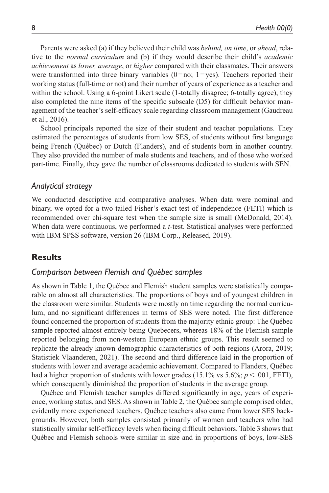Parents were asked (a) if they believed their child was *behind, on time*, or *ahead*, relative to the *normal curriculum* and (b) if they would describe their child's *academic achievement* as *lower, average*, or *higher* compared with their classmates. Their answers were transformed into three binary variables  $(0=no; 1=yes)$ . Teachers reported their working status (full-time or not) and their number of years of experience as a teacher and within the school. Using a 6-point Likert scale (1-totally disagree; 6-totally agree), they also completed the nine items of the specific subscale (D5) for difficult behavior management of the teacher's self-efficacy scale regarding classroom management (Gaudreau et al., 2016).

School principals reported the size of their student and teacher populations. They estimated the percentages of students from low SES, of students without first language being French (Québec) or Dutch (Flanders), and of students born in another country. They also provided the number of male students and teachers, and of those who worked part-time. Finally, they gave the number of classrooms dedicated to students with SEN.

#### *Analytical strategy*

We conducted descriptive and comparative analyses. When data were nominal and binary, we opted for a two tailed Fisher's exact test of independence (FETI) which is recommended over chi-square test when the sample size is small (McDonald, 2014). When data were continuous, we performed a *t*-test. Statistical analyses were performed with IBM SPSS software, version 26 (IBM Corp., Released, 2019).

#### **Results**

#### *Comparison between Flemish and Québec samples*

As shown in Table 1, the Québec and Flemish student samples were statistically comparable on almost all characteristics. The proportions of boys and of youngest children in the classroom were similar. Students were mostly on time regarding the normal curriculum, and no significant differences in terms of SES were noted. The first difference found concerned the proportion of students from the majority ethnic group: The Québec sample reported almost entirely being Quebecers, whereas 18% of the Flemish sample reported belonging from non-western European ethnic groups. This result seemed to replicate the already known demographic characteristics of both regions (Arora, 2019; Statistiek Vlaanderen, 2021). The second and third difference laid in the proportion of students with lower and average academic achievement. Compared to Flanders, Québec had a higher proportion of students with lower grades (15.1% vs 5.6%;  $p < .001$ , FETI), which consequently diminished the proportion of students in the average group.

Québec and Flemish teacher samples differed significantly in age, years of experience, working status, and SES. As shown in Table 2, the Québec sample comprised older, evidently more experienced teachers. Québec teachers also came from lower SES backgrounds. However, both samples consisted primarily of women and teachers who had statistically similar self-efficacy levels when facing difficult behaviors. Table 3 shows that Québec and Flemish schools were similar in size and in proportions of boys, low-SES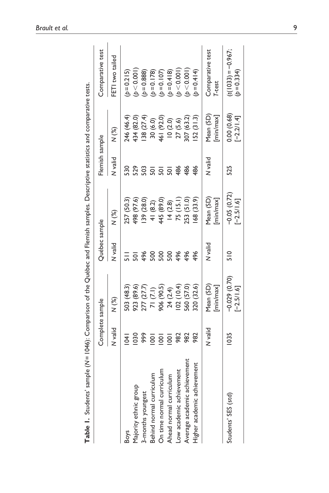|                                  | Complete sample |                                | Québec sample   |                               | Flemish sample |                             | Comparative test                    |
|----------------------------------|-----------------|--------------------------------|-----------------|-------------------------------|----------------|-----------------------------|-------------------------------------|
|                                  | N valid         | N (%)                          | V valid         | N (%)                         | N valid        | N (%)                       | FETI two tailed                     |
| Boys                             | $\bar{z}$       | 503 (48.3)                     |                 | 257 (50.3)                    | 530            | 246 (46.4)                  | $(p=0.215)$                         |
| Majority ethnic group            | 030             | 923 (89.6)                     | $\overline{50}$ | 498 (97.6)                    | 529            | 434 (82.0)                  | (b < 0.001)                         |
| 3-months youngest                | 999             | 277 (27.7)                     | 496             | 139 (28.0)                    | 503            | 138(27.4)                   | $(b=0.888)$                         |
| Behind normal curriculum         | $\overline{0}$  | 71(7.1)                        | 500             | 41 (8.2)                      | ន្ល            | 30 (6.0)                    | $(b=0.178)$                         |
| On time normal curriculum        | $\overline{8}$  | 906 (90.5)                     | 500             | 445 (89.0)                    | ន្ល            | 461 (92.0)                  | $(b=0.107)$                         |
| Ahead normal curriculum          | $\overline{8}$  | 24(2.4)                        | 500             | 14(2.8)                       | ន្ត            | 10(2.0)                     | $(b=0.418)$                         |
| Low academic achievement         | 982             | (02(10.4)                      | 496             | 75(15.1)                      | 486            | 27(5.6)                     | (p < 0.001)                         |
| Average academic achievement     | 982             | 560 (57.0)                     | 496             | 253 (51.0)                    | 486            | 307 (63.2)                  | (b < 0.001)                         |
| nent<br>Higher academic achievem | 982             | 320 (32.6)                     | 496             | 68 (33.9)                     | 486            | 52(31.3)                    | $(p=0.414)$                         |
|                                  | N valid         | Mean (SD)<br>[min/max]         | <b>Dilev N</b>  | Mean (SD)<br>min/max]         | N valid        | Mean (SD)<br>[min/max]      | Comparative test<br>T-test          |
| Students' SES (std)              | 035             | $-0.029(0.70)$<br>$[-2.5/1.6]$ | $\frac{1}{2}$   | $-0.05(0.72)$<br>$-2.5/1.6$ ] | 525            | 0.00 (0.68)<br>$[-2.2/1.4]$ | $(t(1033) = -0.967)$<br>$(b=0.334)$ |

Table 1. Students' sample (N=1046): Comparison of the Québec and Flemish samples. Descriptive statistics and comparative tests. **Table 1.** Students' sample (*N*=1046): Comparison of the Québec and Flemish samples. Descriptive statistics and comparative tests.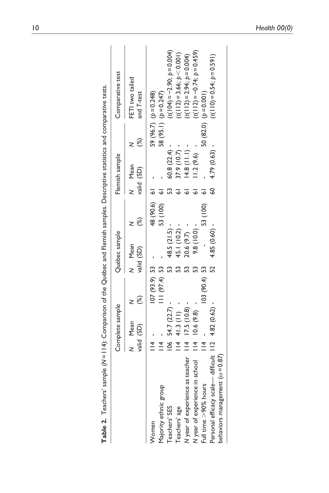| (%)<br>N Mean<br>valid (SD)<br>$\overline{4}$<br>Women                                             | $107(93.9)$ 53 |                                       |              | Flemish sample     |     | Comparative test              |  |
|----------------------------------------------------------------------------------------------------|----------------|---------------------------------------|--------------|--------------------|-----|-------------------------------|--|
|                                                                                                    |                | $\mathcal{E}$<br>N Mean<br>valid (SD) |              | Mean<br>valid (SD) | (%) | FETI two tailed<br>and T-test |  |
|                                                                                                    |                |                                       | 48 (90.6) 61 |                    |     | 59 (96.7) $(p=0.248)$         |  |
| $\overline{4}$<br>Majority ethnic group                                                            | $111(97.4)$ 53 |                                       | 53 (100)     |                    |     | 58 (95.1) $(b=0.247)$         |  |
| $106$ 54.7 $(22.7)$<br>Teachers' SES                                                               | 53             | 48.5 (21.5)                           |              | 60.8 (22.4)        |     | $(t(104) = -2.90; p = 0.004)$ |  |
| 41.3(11)<br>$\frac{4}{4}$<br>Teachers' age                                                         | m              | 45.1 (10.2) -                         |              | $37.9(10.7) -$     |     | $(t(112)=3.66; p<0.001)$      |  |
| $17.5(10.8) -$<br>$\frac{4}{4}$<br>teacher<br>N year of experience as t                            |                | $20.6(9.7)$ -                         |              | $14.8$ (11.1) -    |     | $(t(112)=2.94; p=0.004)$      |  |
| 10.6(9.8)<br>$\frac{4}{1}$<br>N year of experience in school                                       | 53             | $9.8(10.0) -$                         |              | 1.2(9.6)           |     | $(t(112) = -0.74; p = 0.459)$ |  |
| $\frac{4}{1}$<br>Full time >90% hours                                                              | $103(90.4)$ 53 | 53 (100)                              |              |                    |     | $50(82.0)$ $(p=0.001)$        |  |
| difficult 112 4.82 (0.62)<br>$\omega = 0.87$<br>behaviors management (<br>Personal efficacy scale- | 52             | 4.85 (0.60)                           |              | 4.79 (0.63)        |     | $(t(110)=0.54; p=0.591)$      |  |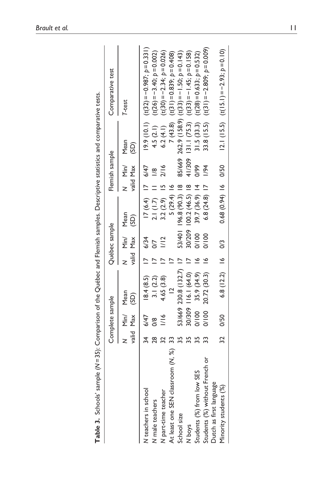| N Min/<br>660<br>valid Max<br>1/94<br>2/16<br>6/47<br>$\frac{8}{6}$<br>$17(6.4)$ 17<br>53/401 196.8 (90.3) 18<br>$100.2(46.5)$ 18<br>39.7 (36.9) 14<br>6.8 $(24.8)$ 17<br>5(29.4)<br>3.2(2.9)<br>2.1(1.7)<br>Mean<br>$\overline{5}$<br>30/209<br>Min/<br>001/0<br>001/2<br>valid Max<br>6/34<br>$\frac{2}{1}$<br>$\overline{5}$<br>53/669 230.8 (132.7) 17<br>h<br>116.1 (64.0)<br>20.72 (30.3)<br>35.9 (34.9)<br>18.4(8.5)<br>3.1(2.2)<br>4.65 (3.8)<br>$\approx$<br>Mean<br>(SD)<br>80/309<br>Min/<br>00100<br>001/0<br>valid Max<br>6/47<br>$\frac{1}{16}$<br>$\frac{8}{2}$<br>34<br>$\frac{8}{2}$<br>At least one SEN classroom (N, %)<br>Students (%) without French or<br>Students (%) from low SES<br>Dutch as first language<br>V teachers in school<br>N part-time teacher<br>V male teachers<br>School size<br>N boys |  | Complete sample |  | Québec sample |  | Flemish sample |                        | Comparative test                                  |
|---------------------------------------------------------------------------------------------------------------------------------------------------------------------------------------------------------------------------------------------------------------------------------------------------------------------------------------------------------------------------------------------------------------------------------------------------------------------------------------------------------------------------------------------------------------------------------------------------------------------------------------------------------------------------------------------------------------------------------------------------------------------------------------------------------------------------------|--|-----------------|--|---------------|--|----------------|------------------------|---------------------------------------------------|
|                                                                                                                                                                                                                                                                                                                                                                                                                                                                                                                                                                                                                                                                                                                                                                                                                                 |  |                 |  |               |  |                | Mean<br>$\overline{3}$ | T-test                                            |
|                                                                                                                                                                                                                                                                                                                                                                                                                                                                                                                                                                                                                                                                                                                                                                                                                                 |  |                 |  |               |  |                |                        | $(10.1)$ $(10.2) = -0.887$ ; $p = 0.331$          |
|                                                                                                                                                                                                                                                                                                                                                                                                                                                                                                                                                                                                                                                                                                                                                                                                                                 |  |                 |  |               |  |                | 4.5(2.1)               | $(t(26) = -3.40; p = 0.002)$                      |
|                                                                                                                                                                                                                                                                                                                                                                                                                                                                                                                                                                                                                                                                                                                                                                                                                                 |  |                 |  |               |  |                | 6.2(4.1)               | $(t(30) = -2.34; p = 0.026)$                      |
|                                                                                                                                                                                                                                                                                                                                                                                                                                                                                                                                                                                                                                                                                                                                                                                                                                 |  |                 |  |               |  |                | 7(43.8)                | $(t(31) = 0.839; p = 0.408)$                      |
|                                                                                                                                                                                                                                                                                                                                                                                                                                                                                                                                                                                                                                                                                                                                                                                                                                 |  |                 |  |               |  |                |                        | 85/669 262.9 (158.9) $(t(33) = -1.50; p = 0.143)$ |
|                                                                                                                                                                                                                                                                                                                                                                                                                                                                                                                                                                                                                                                                                                                                                                                                                                 |  |                 |  |               |  | 41/309         |                        | $131.1(75.3)$ $(t(33) = -1.45; p = 0.158)$        |
|                                                                                                                                                                                                                                                                                                                                                                                                                                                                                                                                                                                                                                                                                                                                                                                                                                 |  |                 |  |               |  |                | 31.5(33.3)             | $(t(28) = 0.633; p = 0.532)$                      |
|                                                                                                                                                                                                                                                                                                                                                                                                                                                                                                                                                                                                                                                                                                                                                                                                                                 |  |                 |  |               |  |                |                        | 33.8 (15.5) $(t(3)) = -2.809$ ; $p = 0.009$ )     |
|                                                                                                                                                                                                                                                                                                                                                                                                                                                                                                                                                                                                                                                                                                                                                                                                                                 |  |                 |  |               |  |                |                        |                                                   |
| $0.68(0.94)$ 16 0/50<br>$6.8(12.2)$ 16<br>32<br>Minority students (%)                                                                                                                                                                                                                                                                                                                                                                                                                                                                                                                                                                                                                                                                                                                                                           |  | 0/50            |  | S3            |  |                |                        | $(15.5)$ $(t(15.1) = -2.93; p = 0.10)$            |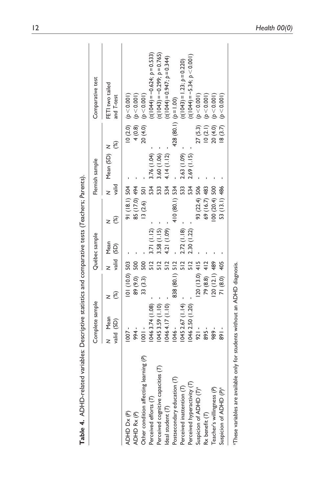| Table 4. ADHD-related                   | variables: Descriptive statistics and comparative tests (Teachers; Parents). |                 |               |               |                |                |                |     |                                 |  |
|-----------------------------------------|------------------------------------------------------------------------------|-----------------|---------------|---------------|----------------|----------------|----------------|-----|---------------------------------|--|
|                                         | Complete sample                                                              |                 |               | Québec sample |                |                | Flemish sample |     | Comparative test                |  |
|                                         | Mean<br>valid (SD)<br>z                                                      | ි)              | valid (SD)    | Mean          | 8<br>z         | valid          | Mean (SD) N    | (%) | FETI two tailed<br>and T-test   |  |
| ADHD Dx(P)                              | $1007 -$                                                                     | 101 (10.0) 503  |               |               | 91 (18.1) 504  |                |                |     | $10(2.0)$ ( $p < 0.001$ )       |  |
| ADHD Rx(P)                              | 994 -                                                                        | 89 (9.0)        | 500           |               | 85 (17.0) 494  |                |                |     | 4 (0.8) $(p < 0.001)$           |  |
| Other condition affecting learning (P)  | $1001 -$                                                                     | 33 (3.3)        | 500           |               | 13(2.6)        | $\overline{5}$ |                |     | $20(4.0)$ $(p < 0.001)$         |  |
| Perceived efforts (T)                   | 0463.74 (1.08)                                                               |                 | $\frac{2}{5}$ | 3.71(1.12)    |                | 534            | 1.76 (1.04)    |     | $(t(1044) = -0.624; p = 0.533)$ |  |
| $\in$<br>Perceived cognitive capacities | 1045 3.59 (1.10)                                                             |                 | 512           | 3.58(1.15)    |                | 533            | 3.60 (1.06)    |     | $(t(1043) = -0.299; p = 0.765)$ |  |
| Ideal student (T)                       | 1046 4.17 (1.10)                                                             |                 | 512           | 4.21 (1.09)   |                | 534            | 4.14(1.12)     |     | $(t(1044) = 0.947; p = 0.344)$  |  |
| Postsecondary education (7)             | 1046 -                                                                       | 838 (80.1) 512  |               |               | 410 (80.1) 534 |                |                |     | 428 (80.1) $(p=1.00)$           |  |
| Perceived inattention (T)               | 1045 2.67 (1.14)                                                             |                 | $\frac{5}{2}$ | 2.72(1.18)    |                | 533            | 2.63 (1.09)    |     | $(t(1043) = 1.23; p = 0.220)$   |  |
| Perceived hyperactivity (T)             | 1046 2.50 (1.20)                                                             |                 | 512           | 2.30 (1.22)   |                | 534            | $2.69$ (1.15)  |     | $(t(1044) = -5.34; p < 0.001)$  |  |
| Suspicion of ADHD (T) <sup>a</sup>      | $921 -$                                                                      | 20 (13.0)       | 415           |               | 93 (22.4) 506  |                |                |     | $27(5.3)$ $(p < 0.001)$         |  |
| $Rx$ benefit $(T)$                      | 895 -                                                                        | 79 (8.8)        | 412           |               | 69 (16.7) 483  |                |                |     | 10 (2.1) $(p < 0.001)$          |  |
| Teacher's willingness (P)               | 989 -                                                                        | $120(12.1)$ 489 |               |               | 00 (20.4) 500  |                |                |     | $20(4.0)$ $(p < 0.001)$         |  |
| Suspicion of ADHD (P) <sup>a</sup>      | $-168$                                                                       | 71 (8.0)        | 405           |               | 53 (13.1) 486  |                |                |     | $18(3.7)$ ( $p < 0.001$ )       |  |
| These variables are available           | only for students without an ADHD diagnosis.                                 |                 |               |               |                |                |                |     |                                 |  |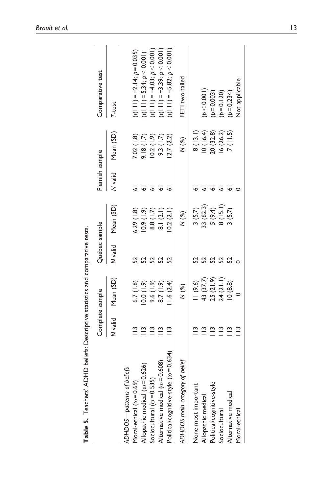| Complete sample                               | Québec sample |              | Flemish sample |           | Comparative test              |
|-----------------------------------------------|---------------|--------------|----------------|-----------|-------------------------------|
| Mean (SD)<br>N valid                          | N valid       | Mean (SD)    | N valid        | Mean (SD) | T-test                        |
|                                               |               |              |                |           |                               |
| 6.7(1.8)                                      |               | 6.29(1.8)    |                | 7.02(1.8) | $(t(111) = -2.14; p = 0.035)$ |
| (6.1)0.0<br>$\tilde{=}$                       | 52            | $(6.1)$ 6.01 |                | 9.18(1.7) | $(t(111) = 5.34; p < 0.001)$  |
| (6.1)9.6<br>$\tilde{=}$                       | 52            | 8.8(1.7)     |                |           | $(t(111) = -4.03; p < 0.001)$ |
| (6.1)(.8)<br>$\tilde{=}$                      | 52            | 8.1(2.1)     |                | 9.3(1.7)  | $(t(111) = -3.39; p < 0.001)$ |
| 1.6(2.4)<br>$\tilde{=}$<br>$(\omega = 0.634)$ |               | 0.2(2.1)     |                | 2.7(2.2)  | $(t(111) = -5.82; p < 0.001)$ |
| N (%)                                         |               | N (%)        |                | $N$ $(%)$ | FETI two tailed               |
| (9.6)                                         |               | 3(5.7)       |                | 8(13.1)   |                               |
| 43 (37.7)<br>$\tilde{=}$                      |               | 33 (62.3)    |                |           | (b < 0.001)                   |
| $\stackrel{\textstyle\circ}{=}$               | 52            | 5(9.4)       |                | 20 (32.8) | $(b=0.003)$                   |
| 24 (21.1)<br>$\tilde{=}$                      |               |              |                | 16(26.2)  | $(b=0.120)$                   |
| 10(8.8)<br>$\tilde{=}$                        |               | (5.7)        |                | 7(11.5)   | $(b=0.234)$                   |
| $\tilde{=}$                                   |               |              |                |           | Not applicable                |
| 25(21.9)                                      |               | 8(15.1)      |                |           | 10(16.4)<br>10.2(1.9)         |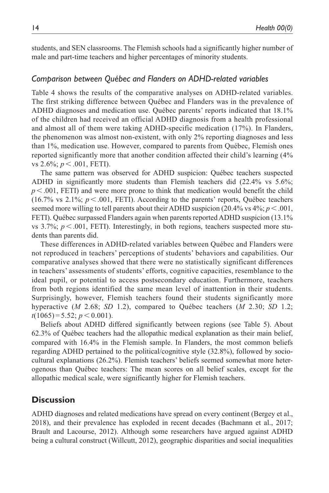students, and SEN classrooms. The Flemish schools had a significantly higher number of male and part-time teachers and higher percentages of minority students.

#### *Comparison between Québec and Flanders on ADHD-related variables*

Table 4 shows the results of the comparative analyses on ADHD-related variables. The first striking difference between Québec and Flanders was in the prevalence of ADHD diagnoses and medication use. Québec parents' reports indicated that 18.1% of the children had received an official ADHD diagnosis from a health professional and almost all of them were taking ADHD-specific medication (17%). In Flanders, the phenomenon was almost non-existent, with only 2% reporting diagnoses and less than 1%, medication use. However, compared to parents from Québec, Flemish ones reported significantly more that another condition affected their child's learning (4% vs 2.6%; *p* < .001, FETI).

The same pattern was observed for ADHD suspicion: Québec teachers suspected ADHD in significantly more students than Flemish teachers did (22.4% vs 5.6%;  $p < .001$ , FETI) and were more prone to think that medication would benefit the child (16.7% vs 2.1%;  $p < .001$ , FETI). According to the parents' reports, Québec teachers seemed more willing to tell parents about their ADHD suspicion  $(20.4\% \text{ vs } 4\%; p < .001,$ FETI). Québec surpassed Flanders again when parents reported ADHD suspicion (13.1% vs  $3.7\%$ ;  $p < .001$ , FETI). Interestingly, in both regions, teachers suspected more students than parents did.

These differences in ADHD-related variables between Québec and Flanders were not reproduced in teachers' perceptions of students' behaviors and capabilities. Our comparative analyses showed that there were no statistically significant differences in teachers' assessments of students' efforts, cognitive capacities, resemblance to the ideal pupil, or potential to access postsecondary education. Furthermore, teachers from both regions identified the same mean level of inattention in their students. Surprisingly, however, Flemish teachers found their students significantly more hyperactive (*M* 2.68; *SD* 1.2), compared to Québec teachers (*M* 2.30; *SD* 1.2;  $t(1065) = 5.52; p < 0.001$ ).

Beliefs about ADHD differed significantly between regions (see Table 5). About 62.3% of Québec teachers had the allopathic medical explanation as their main belief, compared with 16.4% in the Flemish sample. In Flanders, the most common beliefs regarding ADHD pertained to the political/cognitive style (32.8%), followed by sociocultural explanations (26.2%). Flemish teachers' beliefs seemed somewhat more heterogenous than Québec teachers: The mean scores on all belief scales, except for the allopathic medical scale, were significantly higher for Flemish teachers.

## **Discussion**

ADHD diagnoses and related medications have spread on every continent (Bergey et al., 2018), and their prevalence has exploded in recent decades (Bachmann et al., 2017; Brault and Lacourse, 2012). Although some researchers have argued against ADHD being a cultural construct (Willcutt, 2012), geographic disparities and social inequalities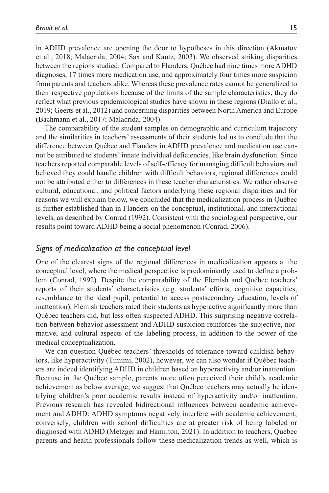in ADHD prevalence are opening the door to hypotheses in this direction (Akmatov et al., 2018; Malacrida, 2004; Sax and Kautz, 2003). We observed striking disparities between the regions studied: Compared to Flanders, Québec had nine times more ADHD diagnoses, 17 times more medication use, and approximately four times more suspicion from parents and teachers alike. Whereas these prevalence rates cannot be generalized to their respective populations because of the limits of the sample characteristics, they do reflect what previous epidemiological studies have shown in these regions (Diallo et al., 2019; Geerts et al., 2012) and concerning disparities between North America and Europe (Bachmann et al., 2017; Malacrida, 2004).

The comparability of the student samples on demographic and curriculum trajectory and the similarities in teachers' assessments of their students led us to conclude that the difference between Québec and Flanders in ADHD prevalence and medication use cannot be attributed to students' innate individual deficiencies, like brain dysfunction. Since teachers reported comparable levels of self-efficacy for managing difficult behaviors and believed they could handle children with difficult behaviors, regional differences could not be attributed either to differences in these teacher characteristics. We rather observe cultural, educational, and political factors underlying these regional disparities and for reasons we will explain below, we concluded that the medicalization process in Québec is further established than in Flanders on the conceptual, institutional, and interactional levels, as described by Conrad (1992). Consistent with the sociological perspective, our results point toward ADHD being a social phenomenon (Conrad, 2006).

#### *Signs of medicalization at the conceptual level*

One of the clearest signs of the regional differences in medicalization appears at the conceptual level, where the medical perspective is predominantly used to define a problem (Conrad, 1992). Despite the comparability of the Flemish and Québec teachers' reports of their students' characteristics (e.g. students' efforts, cognitive capacities, resemblance to the ideal pupil, potential to access postsecondary education, levels of inattention), Flemish teachers rated their students as hyperactive significantly more than Québec teachers did, but less often suspected ADHD. This surprising negative correlation between behavior assessment and ADHD suspicion reinforces the subjective, normative, and cultural aspects of the labeling process, in addition to the power of the medical conceptualization.

We can question Québec teachers' thresholds of tolerance toward childish behaviors, like hyperactivity (Timimi, 2002), however, we can also wonder if Québec teachers are indeed identifying ADHD in children based on hyperactivity and/or inattention. Because in the Québec sample, parents more often perceived their child's academic achievement as below average, we suggest that Québec teachers may actually be identifying children's poor academic results instead of hyperactivity and/or inattention. Previous research has revealed bidirectional influences between academic achievement and ADHD: ADHD symptoms negatively interfere with academic achievement; conversely, children with school difficulties are at greater risk of being labeled or diagnosed with ADHD (Metzger and Hamilton, 2021). In addition to teachers, Québec parents and health professionals follow these medicalization trends as well, which is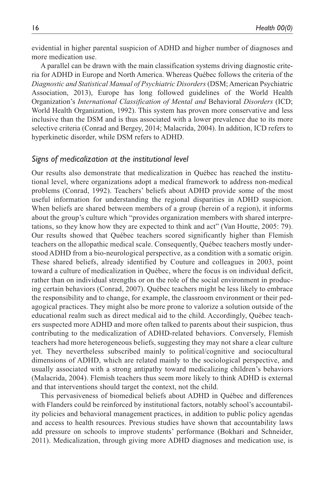evidential in higher parental suspicion of ADHD and higher number of diagnoses and more medication use.

A parallel can be drawn with the main classification systems driving diagnostic criteria for ADHD in Europe and North America. Whereas Québec follows the criteria of the *Diagnostic and Statistical Manual of Psychiatric Disorders* (DSM; American Psychiatric Association, 2013), Europe has long followed guidelines of the World Health Organization's *International Classification of Mental and* Behavioral *Disorders* (ICD; World Health Organization, 1992). This system has proven more conservative and less inclusive than the DSM and is thus associated with a lower prevalence due to its more selective criteria (Conrad and Bergey, 2014; Malacrida, 2004). In addition, ICD refers to hyperkinetic disorder, while DSM refers to ADHD.

#### *Signs of medicalization at the institutional level*

Our results also demonstrate that medicalization in Québec has reached the institutional level, where organizations adopt a medical framework to address non-medical problems (Conrad, 1992). Teachers' beliefs about ADHD provide some of the most useful information for understanding the regional disparities in ADHD suspicion. When beliefs are shared between members of a group (herein of a region), it informs about the group's culture which "provides organization members with shared interpretations, so they know how they are expected to think and act" (Van Houtte, 2005: 79). Our results showed that Québec teachers scored significantly higher than Flemish teachers on the allopathic medical scale. Consequently, Québec teachers mostly understood ADHD from a bio-neurological perspective, as a condition with a somatic origin. These shared beliefs, already identified by Couture and colleagues in 2003, point toward a culture of medicalization in Québec, where the focus is on individual deficit, rather than on individual strengths or on the role of the social environment in producing certain behaviors (Conrad, 2007). Québec teachers might be less likely to embrace the responsibility and to change, for example, the classroom environment or their pedagogical practices. They might also be more prone to valorize a solution outside of the educational realm such as direct medical aid to the child. Accordingly, Québec teachers suspected more ADHD and more often talked to parents about their suspicion, thus contributing to the medicalization of ADHD-related behaviors. Conversely, Flemish teachers had more heterogeneous beliefs, suggesting they may not share a clear culture yet. They nevertheless subscribed mainly to political/cognitive and sociocultural dimensions of ADHD, which are related mainly to the sociological perspective, and usually associated with a strong antipathy toward medicalizing children's behaviors (Malacrida, 2004). Flemish teachers thus seem more likely to think ADHD is external and that interventions should target the context, not the child.

This pervasiveness of biomedical beliefs about ADHD in Québec and differences with Flanders could be reinforced by institutional factors, notably school's accountability policies and behavioral management practices, in addition to public policy agendas and access to health resources. Previous studies have shown that accountability laws add pressure on schools to improve students' performance (Bokhari and Schneider, 2011). Medicalization, through giving more ADHD diagnoses and medication use, is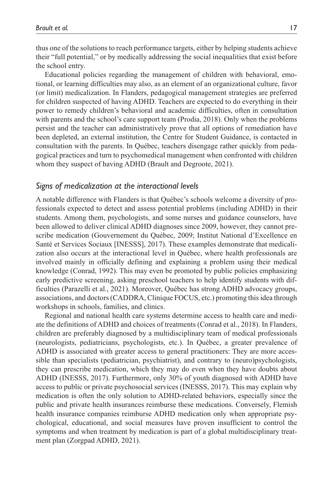thus one of the solutions to reach performance targets, either by helping students achieve their "full potential," or by medically addressing the social inequalities that exist before the school entry.

Educational policies regarding the management of children with behavioral, emotional, or learning difficulties may also, as an element of an organizational culture, favor (or limit) medicalization. In Flanders, pedagogical management strategies are preferred for children suspected of having ADHD. Teachers are expected to do everything in their power to remedy children's behavioral and academic difficulties, often in consultation with parents and the school's care support team (Prodia, 2018). Only when the problems persist and the teacher can administratively prove that all options of remediation have been depleted, an external institution, the Centre for Student Guidance, is contacted in consultation with the parents. In Québec, teachers disengage rather quickly from pedagogical practices and turn to psychomedical management when confronted with children whom they suspect of having ADHD (Brault and Degroote, 2021).

## *Signs of medicalization at the interactional levels*

A notable difference with Flanders is that Québec's schools welcome a diversity of professionals expected to detect and assess potential problems (including ADHD) in their students. Among them, psychologists, and some nurses and guidance counselors, have been allowed to deliver clinical ADHD diagnoses since 2009, however, they cannot prescribe medication (Gouvernement du Québec, 2009; Institut National d'Excellence en Santé et Services Sociaux [INESSS], 2017). These examples demonstrate that medicalization also occurs at the interactional level in Québec, where health professionals are involved mainly in officially defining and explaining a problem using their medical knowledge (Conrad, 1992). This may even be promoted by public policies emphasizing early predictive screening, asking preschool teachers to help identify students with difficulties (Parazelli et al., 2021). Moreover, Québec has strong ADHD advocacy groups, associations, and doctors (CADDRA, Clinique FOCUS, etc.) promoting this idea through workshops in schools, families, and clinics.

Regional and national health care systems determine access to health care and mediate the definitions of ADHD and choices of treatments (Conrad et al., 2018). In Flanders, children are preferably diagnosed by a multidisciplinary team of medical professionals (neurologists, pediatricians, psychologists, etc.). In Québec, a greater prevalence of ADHD is associated with greater access to general practitioners: They are more accessible than specialists (pediatrician, psychiatrist), and contrary to (neuro)psychologists, they can prescribe medication, which they may do even when they have doubts about ADHD (INESSS, 2017). Furthermore, only 30% of youth diagnosed with ADHD have access to public or private psychosocial services (INESSS, 2017). This may explain why medication is often the only solution to ADHD-related behaviors, especially since the public and private health insurances reimburse these medications. Conversely, Flemish health insurance companies reimburse ADHD medication only when appropriate psychological, educational, and social measures have proven insufficient to control the symptoms and when treatment by medication is part of a global multidisciplinary treatment plan (Zorgpad ADHD, 2021).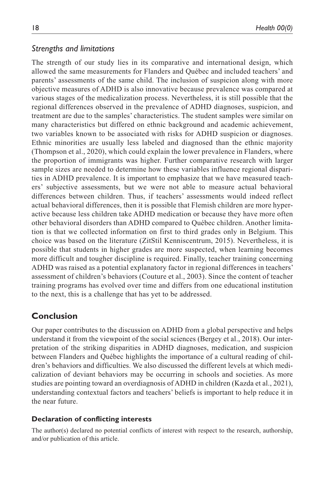## *Strengths and limitations*

The strength of our study lies in its comparative and international design, which allowed the same measurements for Flanders and Québec and included teachers' and parents' assessments of the same child. The inclusion of suspicion along with more objective measures of ADHD is also innovative because prevalence was compared at various stages of the medicalization process. Nevertheless, it is still possible that the regional differences observed in the prevalence of ADHD diagnoses, suspicion, and treatment are due to the samples' characteristics. The student samples were similar on many characteristics but differed on ethnic background and academic achievement, two variables known to be associated with risks for ADHD suspicion or diagnoses. Ethnic minorities are usually less labeled and diagnosed than the ethnic majority (Thompson et al., 2020), which could explain the lower prevalence in Flanders, where the proportion of immigrants was higher. Further comparative research with larger sample sizes are needed to determine how these variables influence regional disparities in ADHD prevalence. It is important to emphasize that we have measured teachers' subjective assessments, but we were not able to measure actual behavioral differences between children. Thus, if teachers' assessments would indeed reflect actual behavioral differences, then it is possible that Flemish children are more hyperactive because less children take ADHD medication or because they have more often other behavioral disorders than ADHD compared to Québec children. Another limitation is that we collected information on first to third grades only in Belgium. This choice was based on the literature (ZitStil Kenniscentrum, 2015). Nevertheless, it is possible that students in higher grades are more suspected, when learning becomes more difficult and tougher discipline is required. Finally, teacher training concerning ADHD was raised as a potential explanatory factor in regional differences in teachers' assessment of children's behaviors (Couture et al., 2003). Since the content of teacher training programs has evolved over time and differs from one educational institution to the next, this is a challenge that has yet to be addressed.

# **Conclusion**

Our paper contributes to the discussion on ADHD from a global perspective and helps understand it from the viewpoint of the social sciences (Bergey et al., 2018). Our interpretation of the striking disparities in ADHD diagnoses, medication, and suspicion between Flanders and Québec highlights the importance of a cultural reading of children's behaviors and difficulties. We also discussed the different levels at which medicalization of deviant behaviors may be occurring in schools and societies. As more studies are pointing toward an overdiagnosis of ADHD in children (Kazda et al., 2021), understanding contextual factors and teachers' beliefs is important to help reduce it in the near future.

#### **Declaration of conflicting interests**

The author(s) declared no potential conflicts of interest with respect to the research, authorship, and/or publication of this article.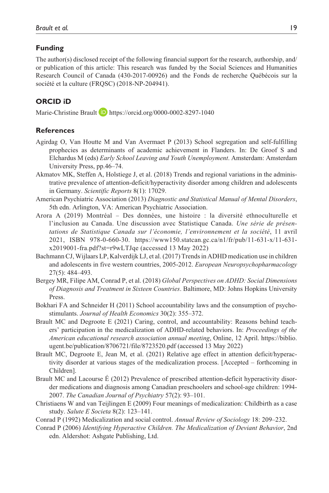#### **Funding**

The author(s) disclosed receipt of the following financial support for the research, authorship, and/ or publication of this article: This research was funded by the Social Sciences and Humanities Research Council of Canada (430-2017-00926) and the Fonds de recherche Québécois sur la société et la culture (FRQSC) (2018-NP-204941).

# **ORCID iD**

Marie-Christine Brault **D** <https://orcid.org/0000-0002-8297-1040>

#### **References**

- Agirdag O, Van Houtte M and Van Avermaet P (2013) School segregation and self-fulfilling prophecies as determinants of academic achievement in Flanders. In: De Groof S and Elchardus M (eds) *Early School Leaving and Youth Unemployment*. Amsterdam: Amsterdam University Press, pp.46–74.
- Akmatov MK, Steffen A, Holstiege J, et al. (2018) Trends and regional variations in the administrative prevalence of attention-deficit/hyperactivity disorder among children and adolescents in Germany. *Scientific Reports* 8(1): 17029.
- American Psychiatric Association (2013) *Diagnostic and Statistical Manual of Mental Disorders*, 5th edn. Arlington, VA: American Psychiatric Association.
- Arora A (2019) Montréal ‒ Des données, une histoire : la diversité ethnoculturelle et l'inclusion au Canada. Une discussion avec Statistique Canada. *Une série de présentations de Statistique Canada sur l'économie, l'environnement et la société*, 11 avril 2021, ISBN 978-0-660-30. [https://www150.statcan.gc.ca/n1/fr/pub/11-631-x/11-631](https://www150.statcan.gc.ca/n1/fr/pub/11-631-x/11-631-x2019001-fra.pdf?st=r9wLTJqe) [x2019001-fra.pdf?st=r9wLTJqe](https://www150.statcan.gc.ca/n1/fr/pub/11-631-x/11-631-x2019001-fra.pdf?st=r9wLTJqe) (accessed 13 May 2022)
- Bachmann CJ, Wijlaars LP, Kalverdijk LJ, et al. (2017) Trends in ADHD medication use in children and adolescents in five western countries, 2005-2012. *European Neuropsychopharmacology* 27(5): 484–493.
- Bergey MR, Filipe AM, Conrad P, et al. (2018) *Global Perspectives on ADHD: Social Dimensions of Diagnosis and Treatment in Sixteen Countries*. Baltimore, MD: Johns Hopkins University Press.
- Bokhari FA and Schneider H (2011) School accountability laws and the consumption of psychostimulants. *Journal of Health Economics* 30(2): 355–372.
- Brault MC and Degroote E (2021) Caring, control, and accountability: Reasons behind teachers' participation in the medicalization of ADHD-related behaviors. In: *Proceedings of the American educational research association annual meeting*, Online, 12 April. [https://biblio.](https://biblio.ugent.be/publication/8706721/file/8723520.pdf) [ugent.be/publication/8706721/file/8723520.pdf \(](https://biblio.ugent.be/publication/8706721/file/8723520.pdf)accessed 13 May 2022)
- Brault MC, Degroote E, Jean M, et al. (2021) Relative age effect in attention deficit/hyperactivity disorder at various stages of the medicalization process. [Accepted – forthcoming in Children].
- Brault MC and Lacourse É (2012) Prevalence of prescribed attention-deficit hyperactivity disorder medications and diagnosis among Canadian preschoolers and school-age children: 1994- 2007. *The Canadian Journal of Psychiatry* 57(2): 93–101.
- Christiaens W and van Teijlingen E (2009) Four meanings of medicalization: Childbirth as a case study. *Salute E Societa* 8(2): 123–141.
- Conrad P (1992) Medicalization and social control. *Annual Review of Sociology* 18: 209–232.
- Conrad P (2006) *Identifying Hyperactive Children. The Medicalization of Deviant Behavior*, 2nd edn. Aldershot: Ashgate Publishing, Ltd.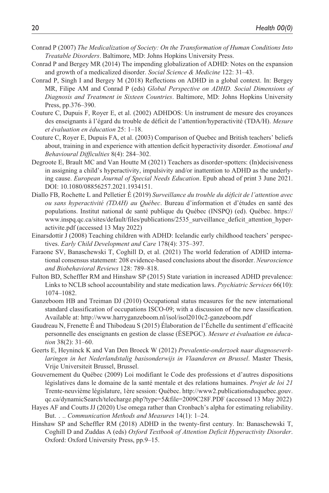- Conrad P (2007) *The Medicalization of Society: On the Transformation of Human Conditions Into Treatable Disorders*. Baltimore, MD: Johns Hopkins University Press.
- Conrad P and Bergey MR (2014) The impending globalization of ADHD: Notes on the expansion and growth of a medicalized disorder. *Social Science & Medicine* 122: 31–43.
- Conrad P, Singh I and Bergey M (2018) Reflections on ADHD in a global context. In: Bergey MR, Filipe AM and Conrad P (eds) *Global Perspective on ADHD. Social Dimensions of Diagnosis and Treatment in Sixteen Countries*. Baltimore, MD: Johns Hopkins University Press, pp.376–390.
- Couture C, Dupuis F, Royer E, et al. (2002) ADHDOS: Un instrument de mesure des croyances des enseignants à l'égard du trouble de déficit de l'attention/hyperactivité (TDA/H). *Mesure et évaluation en éducation* 25: 1–18.
- Couture C, Royer E, Dupuis FA, et al. (2003) Comparison of Quebec and British teachers' beliefs about, training in and experience with attention deficit hyperactivity disorder. *Emotional and Behavioural Difficulties* 8(4): 284–302.
- Degroote E, Brault MC and Van Houtte M (2021) Teachers as disorder-spotters: (In)decisiveness in assigning a child's hyperactivity, impulsivity and/or inattention to ADHD as the underlying cause. *European Journal of Special Needs Education*. Epub ahead of print 3 June 2021. DOI: 10.1080/08856257.2021.1934151.
- Diallo FB, Rochette L and Pelletier É (2019) *Surveillance du trouble du déficit de l'attention avec ou sans hyperactivité (TDAH) au Québec*. Bureau d'information et d'études en santé des populations. Institut national de santé publique du Québec (INSPQ) (ed). Québec. [https://](https://www.inspq.qc.ca/sites/default/files/publications/2535_surveillance_deficit_attention_hyperactivite.pdf) [www.inspq.qc.ca/sites/default/files/publications/2535\\_surveillance\\_deficit\\_attention\\_hyper](https://www.inspq.qc.ca/sites/default/files/publications/2535_surveillance_deficit_attention_hyperactivite.pdf)[activite.pdf](https://www.inspq.qc.ca/sites/default/files/publications/2535_surveillance_deficit_attention_hyperactivite.pdf) (accessed 13 May 2022)
- Einarsdottir J (2008) Teaching children with ADHD: Icelandic early childhood teachers' perspectives. *Early Child Development and Care* 178(4): 375–397.
- Faraone SV, Banaschewski T, Coghill D, et al. (2021) The world federation of ADHD international consensus statement: 208 evidence-based conclusions about the disorder. *Neuroscience and Biobehavioral Reviews* 128: 789–818.
- Fulton BD, Scheffler RM and Hinshaw SP (2015) State variation in increased ADHD prevalence: Links to NCLB school accountability and state medication laws. *Psychiatric Services* 66(10): 1074–1082.
- Ganzeboom HB and Treiman DJ (2010) Occupational status measures for the new international standard classification of occupations ISCO-09; with a discussion of the new classification. Available at:<http://www.harryganzeboom.nl/isol/isol2010c2-ganzeboom.pdf>
- Gaudreau N, Frenette É and Thibodeau S (2015) Élaboration de l'Échelle du sentiment d'efficacité personnelle des enseignants en gestion de classe (ÉSEPGC). *Mesure et évaluation en éducation* 38(2): 31–60.
- Geerts E, Heyninck K and Van Den Broeck W (2012) *Prevalentie-onderzoek naar diagnoseverklaringen in het Nederlandstalig basisonderwijs in Vlaanderen en Brussel*. Master Thesis, Vrije Universiteit Brussel, Brussel.
- Gouvernement du Québec (2009) Loi modifiant le Code des professions et d'autres dispositions législatives dans le domaine de la santé mentale et des relations humaines. *Projet de loi 21* Trente-neuvième législature, 1ère session: Québec. [http://www2.publicationsduquebec.gouv.](http://www2.publicationsduquebec.gouv.qc.ca/dynamicSearch/telecharge.php?type=5&file=2009C28F.PDF) [qc.ca/dynamicSearch/telecharge.php?type=5&file=2009C28F.PDF](http://www2.publicationsduquebec.gouv.qc.ca/dynamicSearch/telecharge.php?type=5&file=2009C28F.PDF) (accessed 13 May 2022)
- Hayes AF and Coutts JJ (2020) Use omega rather than Cronbach's alpha for estimating reliability. But. . .. *Communication Methods and Measures* 14(1): 1–24.
- Hinshaw SP and Scheffler RM (2018) ADHD in the twenty-first century. In: Banaschewski T, Coghill D and Zuddas A (eds) *Oxford Textbook of Attention Deficit Hyperactivity Disorder*. Oxford: Oxford University Press, pp.9–15.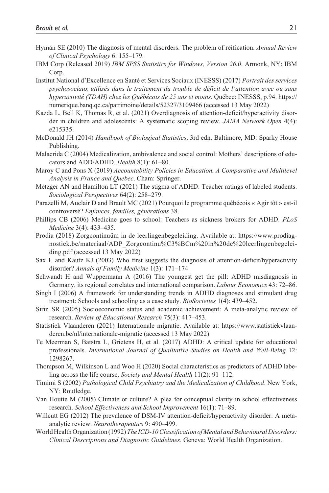- Hyman SE (2010) The diagnosis of mental disorders: The problem of reification. *Annual Review of Clinical Psychology* 6: 155–179.
- IBM Corp (Released 2019) *IBM SPSS Statistics for Windows, Version 26.0*. Armonk, NY: IBM Corp.
- Institut National d'Excellence en Santé et Services Sociaux (INESSS) (2017) *Portrait des services psychosociaux utilisés dans le traitement du trouble de déficit de l'attention avec ou sans hyperactivité (TDAH) chez les Québécois de 25 ans et moins*. Québec: INESSS, p.94. [https://](https://numerique.banq.qc.ca/patrimoine/details/52327/3109466) [numerique.banq.qc.ca/patrimoine/details/52327/3109466](https://numerique.banq.qc.ca/patrimoine/details/52327/3109466) (accessed 13 May 2022)
- Kazda L, Bell K, Thomas R, et al. (2021) Overdiagnosis of attention-deficit/hyperactivity disorder in children and adolescents: A systematic scoping review. *JAMA Network Open* 4(4): e215335.
- McDonald JH (2014) *Handbook of Biological Statistics*, 3rd edn. Baltimore, MD: Sparky House Publishing.
- Malacrida C (2004) Medicalization, ambivalence and social control: Mothers' descriptions of educators and ADD/ADHD. *Health* 8(1): 61–80.
- Maroy C and Pons X (2019) *Accountability Policies in Education. A Comparative and Multilevel Analysis in France and Quebec*. Cham: Springer.
- Metzger AN and Hamilton LT (2021) The stigma of ADHD: Teacher ratings of labeled students. *Sociological Perspectives* 64(2): 258–279.
- Parazelli M, Auclair D and Brault MC (2021) Pourquoi le programme québécois « Agir tôt » est-il controversé? *Enfances, familles, générations* 38.
- Phillips CB (2006) Medicine goes to school: Teachers as sickness brokers for ADHD. *PLoS Medicine* 3(4): 433–435.
- Prodia (2018) Zorgcontinuüm in de leerlingenbegeleiding. Available at: [https://www.prodiag](https://www.prodiagnostiek.be/materiaal/ADP_Zorgcontinu%C3%BCm%20in%20de%20leerlingenbegeleiding.pdf)[nostiek.be/materiaal/ADP\\_Zorgcontinu%C3%BCm%20in%20de%20leerlingenbegelei](https://www.prodiagnostiek.be/materiaal/ADP_Zorgcontinu%C3%BCm%20in%20de%20leerlingenbegeleiding.pdf)[ding.pdf](https://www.prodiagnostiek.be/materiaal/ADP_Zorgcontinu%C3%BCm%20in%20de%20leerlingenbegeleiding.pdf) (accessed 13 May 2022)
- Sax L and Kautz KJ (2003) Who first suggests the diagnosis of attention-deficit/hyperactivity disorder? *Annals of Family Medicine* 1(3): 171–174.
- Schwandt H and Wuppermann A (2016) The youngest get the pill: ADHD misdiagnosis in Germany, its regional correlates and international comparison. *Labour Economics* 43: 72–86.
- Singh I (2006) A framework for understanding trends in ADHD diagnoses and stimulant drug treatment: Schools and schooling as a case study. *BioSocieties* 1(4): 439–452.
- Sirin SR (2005) Socioeconomic status and academic achievement: A meta-analytic review of research. *Review of Educational Research* 75(3): 417–453.
- Statistiek Vlaanderen (2021) Internationale migratie. Available at: [https://www.statistiekvlaan](https://www.statistiekvlaanderen.be/nl/internationale-migratie)[deren.be/nl/internationale-migratie](https://www.statistiekvlaanderen.be/nl/internationale-migratie) (accessed 13 May 2022)
- Te Meerman S, Batstra L, Grietens H, et al. (2017) ADHD: A critical update for educational professionals. *International Journal of Qualitative Studies on Health and Well-Being* 12: 1298267.
- Thompson M, Wilkinson L and Woo H (2020) Social characteristics as predictors of ADHD labeling across the life course. *Society and Mental Health* 11(2): 91–112.
- Timimi S (2002) *Pathological Child Psychiatry and the Medicalization of Childhood*. New York, NY: Routledge.
- Van Houtte M (2005) Climate or culture? A plea for conceptual clarity in school effectiveness research. *School Effectiveness and School Improvement* 16(1): 71–89.
- Willcutt EG (2012) The prevalence of DSM-IV attention-deficit/hyperactivity disorder: A metaanalytic review. *Neurotherapeutics* 9: 490–499.
- World Health Organization (1992) *The ICD-10 Classification of Mental and Behavioural Disorders: Clinical Descriptions and Diagnostic Guidelines*. Geneva: World Health Organization.